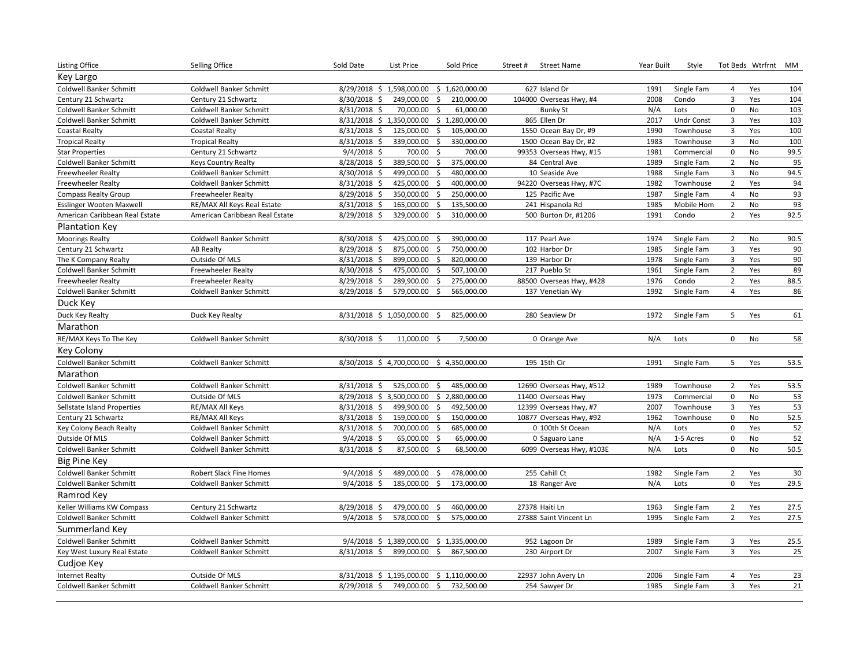| Listing Office                  | Selling Office                 | Sold Date      | List Price                              | Sold Price                        | Street#<br><b>Street Name</b> | Year Built | Style             |                | Tot Beds Wtrfrnt | МM   |
|---------------------------------|--------------------------------|----------------|-----------------------------------------|-----------------------------------|-------------------------------|------------|-------------------|----------------|------------------|------|
| Key Largo                       |                                |                |                                         |                                   |                               |            |                   |                |                  |      |
| Coldwell Banker Schmitt         | Coldwell Banker Schmitt        |                | 8/29/2018 \$ 1,598,000.00               | \$1,620,000.00                    | 627 Island Dr                 | 1991       | Single Fam        | 4              | Yes              | 104  |
| Century 21 Schwartz             | Century 21 Schwartz            | 8/30/2018 \$   | 249,000.00                              | \$<br>210,000.00                  | 104000 Overseas Hwy, #4       | 2008       | Condo             | $\overline{3}$ | Yes              | 104  |
| Coldwell Banker Schmitt         | Coldwell Banker Schmitt        | 8/31/2018 \$   | 70,000.00                               | $\ddot{\mathsf{S}}$<br>61,000.00  | <b>Bunky St</b>               | N/A        | Lots              | $\pmb{0}$      | No               | 103  |
| Coldwell Banker Schmitt         | Coldwell Banker Schmitt        |                | 8/31/2018 \$ 1,350,000.00               | \$1,280,000.00                    | 865 Ellen Dr                  | 2017       | <b>Undr Const</b> | $\overline{3}$ | Yes              | 103  |
| <b>Coastal Realty</b>           | <b>Coastal Realty</b>          | 8/31/2018 \$   | 125,000.00                              | \$<br>105,000.00                  | 1550 Ocean Bay Dr, #9         | 1990       | Townhouse         | 3              | Yes              | 100  |
| <b>Tropical Realty</b>          | <b>Tropical Realty</b>         | 8/31/2018 \$   | 339,000.00                              | 330,000.00<br>Ŝ.                  | 1500 Ocean Bay Dr, #2         | 1983       | Townhouse         | $\overline{3}$ | <b>No</b>        | 100  |
| <b>Star Properties</b>          | Century 21 Schwartz            | $9/4/2018$ \$  | 700.00                                  | $\zeta$<br>700.00                 | 99353 Overseas Hwy, #15       | 1981       | Commercial        | $\mathbf 0$    | <b>No</b>        | 99.5 |
| Coldwell Banker Schmitt         | <b>Keys Country Realty</b>     | 8/28/2018 \$   | 389,500.00                              | $\ddot{\mathsf{S}}$<br>375,000.00 | 84 Central Ave                | 1989       | Single Fam        | $\overline{2}$ | <b>No</b>        | 95   |
| Freewheeler Realty              | Coldwell Banker Schmitt        | 8/30/2018 \$   | 499,000.00                              | Ŝ.<br>480,000.00                  | 10 Seaside Ave                | 1988       | Single Fam        | 3              | No               | 94.5 |
| Freewheeler Realty              | <b>Coldwell Banker Schmitt</b> | 8/31/2018 \$   | 425,000.00                              | \$<br>400,000.00                  | 94220 Overseas Hwy, #7C       | 1982       | Townhouse         | $\overline{2}$ | Yes              | 94   |
| <b>Compass Realty Group</b>     | <b>Freewheeler Realty</b>      | 8/29/2018 \$   | 350,000.00                              | $\ddot{\mathsf{S}}$<br>250,000.00 | 125 Pacific Ave               | 1987       | Single Fam        | $\overline{4}$ | <b>No</b>        | 93   |
| <b>Esslinger Wooten Maxwell</b> | RE/MAX All Keys Real Estate    | 8/31/2018 \$   | 165,000.00                              | \$<br>135,500.00                  | 241 Hispanola Rd              | 1985       | Mobile Hom        | $\overline{2}$ | No               | 93   |
| American Caribbean Real Estate  | American Caribbean Real Estate | 8/29/2018 \$   | 329,000.00                              | S.<br>310,000.00                  | 500 Burton Dr, #1206          | 1991       | Condo             | $\overline{2}$ | Yes              | 92.5 |
| <b>Plantation Key</b>           |                                |                |                                         |                                   |                               |            |                   |                |                  |      |
| <b>Moorings Realty</b>          | Coldwell Banker Schmitt        | 8/30/2018 \$   | 425,000.00                              | 390,000.00<br>\$                  | 117 Pearl Ave                 | 1974       | Single Fam        | $\overline{2}$ | No               | 90.5 |
| Century 21 Schwartz             | <b>AB Realty</b>               | 8/29/2018 \$   | 875,000.00                              | 750,000.00<br>\$                  | 102 Harbor Dr                 | 1985       | Single Fam        | 3              | Yes              | 90   |
| The K Company Realty            | Outside Of MLS                 | 8/31/2018 \$   | 899,000.00                              | \$<br>820,000.00                  | 139 Harbor Dr                 | 1978       | Single Fam        | 3              | Yes              | 90   |
| <b>Coldwell Banker Schmitt</b>  | <b>Freewheeler Realty</b>      | 8/30/2018 \$   | 475,000.00                              | \$<br>507,100.00                  | 217 Pueblo St                 | 1961       | Single Fam        | $\overline{2}$ | Yes              | 89   |
| <b>Freewheeler Realty</b>       | <b>Freewheeler Realty</b>      | 8/29/2018 \$   | 289,900.00                              | -\$<br>275,000.00                 | 88500 Overseas Hwy, #428      | 1976       | Condo             | $\overline{2}$ | Yes              | 88.5 |
| <b>Coldwell Banker Schmitt</b>  | Coldwell Banker Schmitt        | 8/29/2018 \$   | 579,000.00                              | 565,000.00<br>- Ś                 | 137 Venetian Wy               | 1992       | Single Fam        | $\overline{4}$ | Yes              | 86   |
| Duck Key                        |                                |                |                                         |                                   |                               |            |                   |                |                  |      |
| Duck Key Realty                 | Duck Key Realty                |                | 8/31/2018 \$ 1,050,000.00               | 825,000.00<br>S.                  | 280 Seaview Dr                | 1972       | Single Fam        | 5              | Yes              | 61   |
| Marathon                        |                                |                |                                         |                                   |                               |            |                   |                |                  |      |
| RE/MAX Keys To The Key          | Coldwell Banker Schmitt        | 8/30/2018 \$   | 11,000.00 \$                            | 7,500.00                          | 0 Orange Ave                  | N/A        | Lots              | 0              | No               | 58   |
| Key Colony                      |                                |                |                                         |                                   |                               |            |                   |                |                  |      |
| <b>Coldwell Banker Schmitt</b>  | <b>Coldwell Banker Schmitt</b> |                | 8/30/2018 \$4,700,000.00 \$4,350,000.00 |                                   | 195 15th Cir                  | 1991       | Single Fam        | 5              | Yes              | 53.5 |
| Marathon                        |                                |                |                                         |                                   |                               |            |                   |                |                  |      |
| Coldwell Banker Schmitt         | Coldwell Banker Schmitt        | $8/31/2018$ \$ | 525,000.00                              | \$<br>485,000.00                  | 12690 Overseas Hwy, #512      | 1989       | Townhouse         | $\overline{2}$ | Yes              | 53.5 |
| Coldwell Banker Schmitt         | Outside Of MLS                 |                | 8/29/2018 \$3,500,000.00                | \$2,880,000.00                    | 11400 Overseas Hwy            | 1973       | Commercial        | $\pmb{0}$      | No               | 53   |
| Sellstate Island Properties     | RE/MAX All Keys                | $8/31/2018$ \$ | 499,900.00                              | \$<br>492,500.00                  | 12399 Overseas Hwy, #7        | 2007       | Townhouse         | 3              | Yes              | 53   |
| Century 21 Schwartz             | RE/MAX All Keys                | 8/31/2018 \$   | 159,000.00                              | $\zeta$<br>150,000.00             | 10877 Overseas Hwy, #92       | 1962       | Townhouse         | $\pmb{0}$      | No               | 52.5 |
| Key Colony Beach Realty         | Coldwell Banker Schmitt        | 8/31/2018 \$   | 700,000.00                              | $\ddot{\mathsf{S}}$<br>685,000.00 | 0 100th St Ocean              | N/A        | Lots              | $\pmb{0}$      | Yes              | 52   |
| Outside Of MLS                  | Coldwell Banker Schmitt        | $9/4/2018$ \$  | 65,000.00                               | $\ddot{\varsigma}$<br>65,000.00   | 0 Saguaro Lane                | N/A        | 1-5 Acres         | $\pmb{0}$      | No               | 52   |
| Coldwell Banker Schmitt         | Coldwell Banker Schmitt        | 8/31/2018 \$   | 87,500.00 \$                            | 68,500.00                         | 6099 Overseas Hwy, #103E      | N/A        | Lots              | $\mathbf 0$    | No               | 50.5 |
| Big Pine Key                    |                                |                |                                         |                                   |                               |            |                   |                |                  |      |
| <b>Coldwell Banker Schmitt</b>  | <b>Robert Slack Fine Homes</b> | $9/4/2018$ \$  | 489,000.00                              | 478,000.00<br>Ŝ.                  | 255 Cahill Ct                 | 1982       | Single Fam        | $\overline{2}$ | Yes              | 30   |
| <b>Coldwell Banker Schmitt</b>  | <b>Coldwell Banker Schmitt</b> | $9/4/2018$ \$  | 185,000.00                              | 173,000.00<br>Ŝ                   | 18 Ranger Ave                 | N/A        | Lots              | $\mathbf 0$    | Yes              | 29.5 |
| Ramrod Key                      |                                |                |                                         |                                   |                               |            |                   |                |                  |      |
| Keller Williams KW Compass      | Century 21 Schwartz            | 8/29/2018 \$   | 479,000.00                              | 460,000.00<br>\$                  | 27378 Haiti Ln                | 1963       | Single Fam        | $\overline{2}$ | Yes              | 27.5 |
| <b>Coldwell Banker Schmitt</b>  | Coldwell Banker Schmitt        | $9/4/2018$ \$  | 578,000.00                              | \$<br>575,000.00                  | 27388 Saint Vincent Ln        | 1995       | Single Fam        | $\overline{2}$ | Yes              | 27.5 |
| Summerland Key                  |                                |                |                                         |                                   |                               |            |                   |                |                  |      |
| <b>Coldwell Banker Schmitt</b>  | Coldwell Banker Schmitt        |                | 9/4/2018 \$ 1,389,000.00                | \$1,335,000.00                    | 952 Lagoon Dr                 | 1989       | Single Fam        | 3              | Yes              | 25.5 |
| Key West Luxury Real Estate     | Coldwell Banker Schmitt        | 8/31/2018 \$   | 899,000.00                              | \$<br>867,500.00                  | 230 Airport Dr                | 2007       | Single Fam        | 3              | Yes              | 25   |
| Cudjoe Key                      |                                |                |                                         |                                   |                               |            |                   |                |                  |      |
| <b>Internet Realty</b>          | Outside Of MLS                 |                | 8/31/2018 \$1,195,000.00 \$1,110,000.00 |                                   | 22937 John Avery Ln           | 2006       | Single Fam        | 4              | Yes              | 23   |
| Coldwell Banker Schmitt         | Coldwell Banker Schmitt        | 8/29/2018 \$   | 749,000.00 \$                           | 732,500.00                        | 254 Sawyer Dr                 | 1985       | Single Fam        | 3              | Yes              | 21   |
|                                 |                                |                |                                         |                                   |                               |            |                   |                |                  |      |